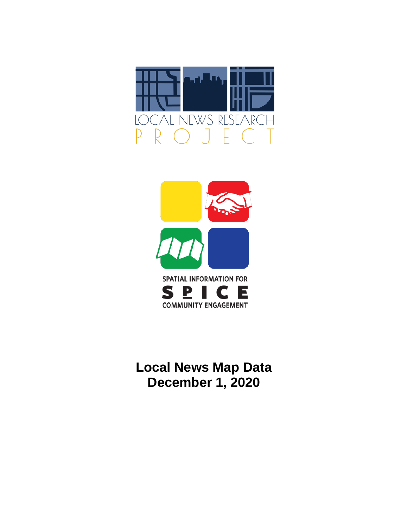



**Local News Map Data December 1, 2020**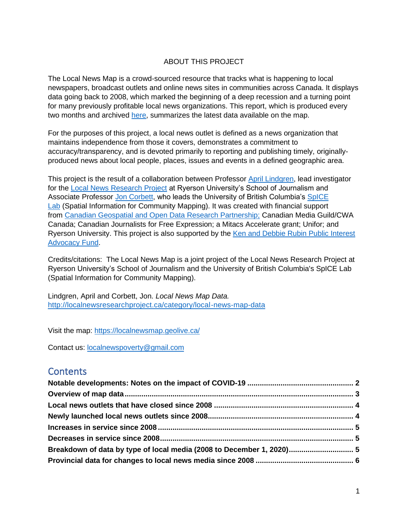### ABOUT THIS PROJECT

The Local News Map is a crowd-sourced resource that tracks what is happening to local newspapers, broadcast outlets and online news sites in communities across Canada. It displays data going back to 2008, which marked the beginning of a deep recession and a turning point for many previously profitable local news organizations. This report, which is produced every two months and archived [here,](http://localnewsresearchproject.ca/category/local-news-map-data) summarizes the latest data available on the map.

For the purposes of this project, a local news outlet is defined as a news organization that maintains independence from those it covers, demonstrates a commitment to accuracy/transparency, and is devoted primarily to reporting and publishing timely, originallyproduced news about local people, places, issues and events in a defined geographic area.

This project is the result of a collaboration between Professor [April Lindgren,](http://rsj.journalism.ryerson.ca/team/april-lindgren/) lead investigator for the [Local News Research Project](http://localnewsresearchproject.ca/) at Ryerson University's School of Journalism and Associate Professor [Jon Corbett,](http://joncorbett.com/JonCorbett/Home.html) who leads the University of British Columbia's [SpICE](http://spice.geolive.ca/)  [Lab](http://spice.geolive.ca/) (Spatial Information for Community Mapping). It was created with financial support from [Canadian Geospatial and Open Data Research Partnership;](http://geothink.ca/) Canadian Media Guild/CWA Canada; Canadian Journalists for Free Expression; a Mitacs Accelerate grant; Unifor; and Ryerson University. This project is also supported by the [Ken and Debbie Rubin Public Interest](http://kenrubin.ca/grants/)  [Advocacy Fund.](http://kenrubin.ca/grants/)

Credits/citations: The Local News Map is a joint project of the Local News Research Project at Ryerson University's School of Journalism and the University of British Columbia's SpICE Lab (Spatial Information for Community Mapping).

Lindgren, April and Corbett, Jon. *Local News Map Data.*  <http://localnewsresearchproject.ca/category/local-news-map-data>

Visit the map:<https://localnewsmap.geolive.ca/>

Contact us: [localnewspoverty@gmail.com](mailto:localnewspoverty@gmail.com)

## **Contents**

| Breakdown of data by type of local media (2008 to December 1, 2020) 5 |  |
|-----------------------------------------------------------------------|--|
|                                                                       |  |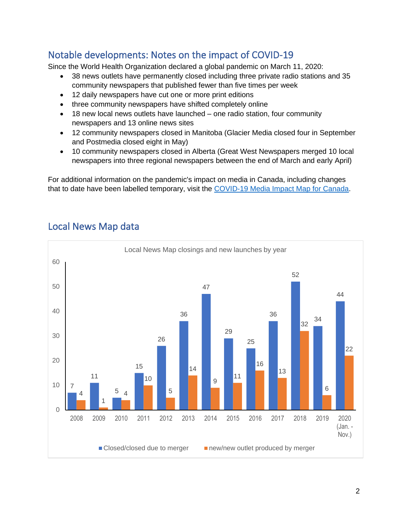# <span id="page-2-0"></span>Notable developments: Notes on the impact of COVID-19

<span id="page-2-1"></span>Since the World Health Organization declared a global pandemic on March 11, 2020:

- 38 news outlets have permanently closed including three private radio stations and 35 community newspapers that published fewer than five times per week
- 12 daily newspapers have cut one or more print editions
- three community newspapers have shifted completely online
- 18 new local news outlets have launched one radio station, four community newspapers and 13 online news sites
- 12 community newspapers closed in Manitoba (Glacier Media closed four in September and Postmedia closed eight in May)
- 10 community newspapers closed in Alberta (Great West Newspapers merged 10 local newspapers into three regional newspapers between the end of March and early April)

For additional information on the pandemic's impact on media in Canada, including changes that to date have been labelled temporary, visit the [COVID-19 Media Impact Map for Canada.](https://localnewsresearchproject.ca/covid-19-media-impact-map-for-canada/)



# Local News Map data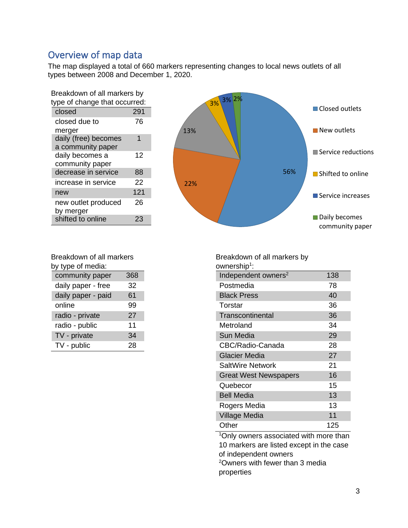## Overview of map data

The map displayed a total of 660 markers representing changes to local news outlets of all types between 2008 and December 1, 2020.

| type of change that occurred:<br>closed<br>291<br>closed due to<br>76<br>merger<br>daily (free) becomes<br>1<br>a community paper<br>daily becomes a<br>12<br>community paper<br>decrease in service<br>88<br>22<br>increase in service<br>121<br>new<br>new outlet produced<br>26<br>by merger<br>shifted to online<br>23 | Breakdown of all markers by |  |  |  |  |
|----------------------------------------------------------------------------------------------------------------------------------------------------------------------------------------------------------------------------------------------------------------------------------------------------------------------------|-----------------------------|--|--|--|--|
|                                                                                                                                                                                                                                                                                                                            |                             |  |  |  |  |
|                                                                                                                                                                                                                                                                                                                            |                             |  |  |  |  |
|                                                                                                                                                                                                                                                                                                                            |                             |  |  |  |  |
|                                                                                                                                                                                                                                                                                                                            |                             |  |  |  |  |
|                                                                                                                                                                                                                                                                                                                            |                             |  |  |  |  |
|                                                                                                                                                                                                                                                                                                                            |                             |  |  |  |  |
|                                                                                                                                                                                                                                                                                                                            |                             |  |  |  |  |
|                                                                                                                                                                                                                                                                                                                            |                             |  |  |  |  |
|                                                                                                                                                                                                                                                                                                                            |                             |  |  |  |  |
|                                                                                                                                                                                                                                                                                                                            |                             |  |  |  |  |
|                                                                                                                                                                                                                                                                                                                            |                             |  |  |  |  |
|                                                                                                                                                                                                                                                                                                                            |                             |  |  |  |  |
|                                                                                                                                                                                                                                                                                                                            |                             |  |  |  |  |



| Breakdown of all markers |     |  |  |  |
|--------------------------|-----|--|--|--|
| by type of media:        |     |  |  |  |
| community paper          | 368 |  |  |  |
| daily paper - free       | 32  |  |  |  |
| daily paper - paid       | 61  |  |  |  |
| online                   | 99  |  |  |  |
| radio - private          | 27  |  |  |  |
| radio - public           | 11  |  |  |  |
| TV - private             | 34  |  |  |  |
| TV - public              | 28  |  |  |  |
|                          |     |  |  |  |

Breakdown of all markers by ownership<sup>1</sup>: Independent owners<sup>2</sup> 138 Postmedia 78 Black Press 40 Torstar 36 Transcontinental 36 Metroland 34 Sun Media 29 CBC/Radio-Canada 28 Glacier Media 27 SaltWire Network 21 Great West Newspapers 16 Quebecor 15 Bell Media 13 Rogers Media 13 Village Media 11 11 Other 125 <sup>1</sup>Only owners associated with more than

10 markers are listed except in the case of independent owners <sup>2</sup>Owners with fewer than 3 media properties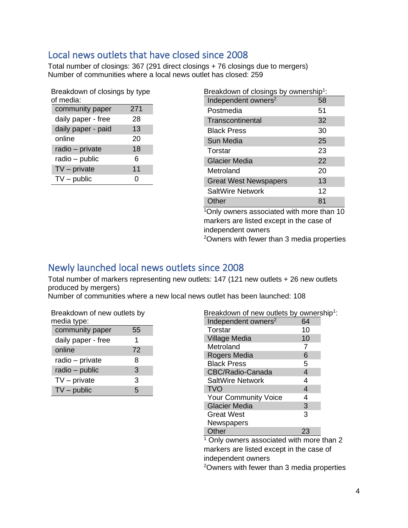## <span id="page-4-0"></span>Local news outlets that have closed since 2008

Total number of closings: 367 (291 direct closings + 76 closings due to mergers) Number of communities where a local news outlet has closed: 259

| Breakdown of closings by type |     |  |  |  |
|-------------------------------|-----|--|--|--|
| of media:                     |     |  |  |  |
| community paper               | 271 |  |  |  |
| daily paper - free            | 28  |  |  |  |
| daily paper - paid            | 13  |  |  |  |
| online                        | 20  |  |  |  |
| radio - private               | 18  |  |  |  |
| radio - public                | 6   |  |  |  |
| $TV$ – private                | 11  |  |  |  |
| $TV$ – public                 | O   |  |  |  |

| Breakdown of closings by ownership <sup>1</sup> : |    |  |  |  |
|---------------------------------------------------|----|--|--|--|
| Independent owners <sup>2</sup>                   | 58 |  |  |  |
| Postmedia                                         | 51 |  |  |  |
| Transcontinental                                  | 32 |  |  |  |
| <b>Black Press</b>                                | 30 |  |  |  |
| Sun Media                                         | 25 |  |  |  |
| Torstar                                           | 23 |  |  |  |
| <b>Glacier Media</b>                              | 22 |  |  |  |
| Metroland                                         | 20 |  |  |  |
| <b>Great West Newspapers</b>                      | 13 |  |  |  |
| SaltWire Network                                  | 12 |  |  |  |
| Other                                             | 81 |  |  |  |

 $10$ nly owners associated with more than 10 markers are listed except in the case of independent owners <sup>2</sup>Owners with fewer than 3 media properties

## <span id="page-4-1"></span>Newly launched local news outlets since 2008

Total number of markers representing new outlets: 147 (121 new outlets + 26 new outlets produced by mergers)

Number of communities where a new local news outlet has been launched: 108

| Breakdown of new outlets by |    |
|-----------------------------|----|
| media type:                 |    |
| community paper             | 55 |

| community paper    | 55 |
|--------------------|----|
| daily paper - free | 1  |
| online             | 72 |
| radio – private    | 8  |
| radio - public     | 3  |
| $TV$ – private     | 3  |
| $TV$ – public      | 5  |

| Breakdown of new outlets by ownership <sup>1</sup> : |    |         |
|------------------------------------------------------|----|---------|
| Independent owners <sup>2</sup>                      | 64 |         |
| Torstar                                              | 10 |         |
| <b>Village Media</b>                                 | 10 |         |
| Metroland                                            |    |         |
| Rogers Media                                         | 6  |         |
| <b>Black Press</b>                                   | 5  |         |
| CBC/Radio-Canada                                     | 4  |         |
| SaltWire Network                                     | 4  |         |
| <b>TVO</b>                                           | 4  |         |
| <b>Your Community Voice</b>                          | 4  |         |
| <b>Glacier Media</b>                                 | 3  |         |
| <b>Great West</b>                                    | 3  |         |
| Newspapers                                           |    |         |
| Other                                                | 23 |         |
| $1 \bigcap_{n=1}^{\infty}$                           |    | ند ما 4 |

<sup>1</sup> Only owners associated with more than 2 markers are listed except in the case of independent owners

2Owners with fewer than 3 media properties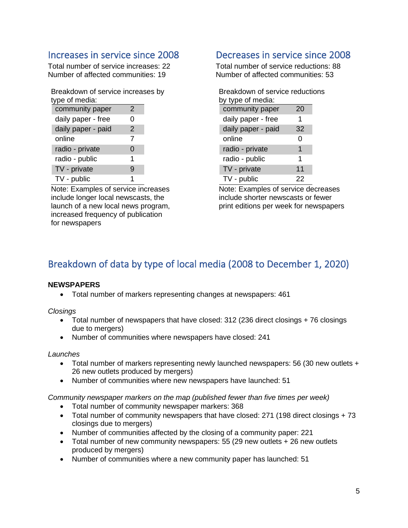## <span id="page-5-0"></span>Increases in service since 2008

Total number of service increases: 22 Number of affected communities: 19

| Breakdown of service increases by<br>type of media: |   |  |
|-----------------------------------------------------|---|--|
| community paper                                     | 2 |  |
| daily paper - free                                  | O |  |
| daily paper - paid                                  | 2 |  |
| online                                              | 7 |  |
| radio - private                                     | 0 |  |
| radio - public                                      | 1 |  |
| TV - private                                        | 9 |  |
| TV - public                                         |   |  |

Note: Examples of service increases include longer local newscasts, the launch of a new local news program, increased frequency of publication for newspapers

## <span id="page-5-1"></span>Decreases in service since 2008

Total number of service reductions: 88 Number of affected communities: 53

| Breakdown of service reductions |    |  |  |  |
|---------------------------------|----|--|--|--|
| by type of media:               |    |  |  |  |
| community paper                 | 20 |  |  |  |
| daily paper - free              | 1  |  |  |  |
| daily paper - paid              | 32 |  |  |  |
| online                          | Ω  |  |  |  |
| radio - private                 | 1  |  |  |  |
| radio - public                  | 1  |  |  |  |
| TV - private                    | 11 |  |  |  |
| TV - public                     | 22 |  |  |  |

Note: Examples of service decreases include shorter newscasts or fewer print editions per week for newspapers

# <span id="page-5-2"></span>Breakdown of data by type of local media (2008 to December 1, 2020)

### **NEWSPAPERS**

• Total number of markers representing changes at newspapers: 461

*Closings*

- Total number of newspapers that have closed: 312 (236 direct closings + 76 closings due to mergers)
- Number of communities where newspapers have closed: 241

### *Launches*

- Total number of markers representing newly launched newspapers: 56 (30 new outlets + 26 new outlets produced by mergers)
- Number of communities where new newspapers have launched: 51

*Community newspaper markers on the map (published fewer than five times per week)* 

- Total number of community newspaper markers: 368
- Total number of community newspapers that have closed: 271 (198 direct closings + 73 closings due to mergers)
- Number of communities affected by the closing of a community paper: 221
- Total number of new community newspapers: 55 (29 new outlets + 26 new outlets produced by mergers)
- Number of communities where a new community paper has launched: 51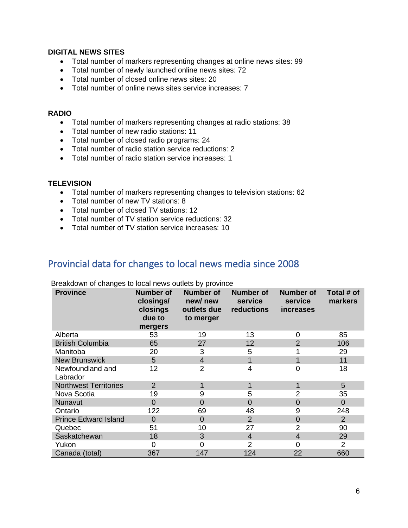### **DIGITAL NEWS SITES**

- Total number of markers representing changes at online news sites: 99
- Total number of newly launched online news sites: 72
- Total number of closed online news sites: 20
- Total number of online news sites service increases: 7

#### **RADIO**

- Total number of markers representing changes at radio stations: 38
- Total number of new radio stations: 11
- Total number of closed radio programs: 24
- Total number of radio station service reductions: 2
- Total number of radio station service increases: 1

### **TELEVISION**

- Total number of markers representing changes to television stations: 62
- Total number of new TV stations: 8
- Total number of closed TV stations: 12
- Total number of TV station service reductions: 32
- Total number of TV station service increases: 10

### <span id="page-6-0"></span>Provincial data for changes to local news media since 2008

| <b>Province</b>              | <b>Number of</b><br>closings/<br>closings<br>due to<br>mergers | Number of<br>new/new<br>outlets due<br>to merger | <b>Number of</b><br>service<br>reductions | <b>Number of</b><br>service<br><i>increases</i> | Total # of<br>markers |
|------------------------------|----------------------------------------------------------------|--------------------------------------------------|-------------------------------------------|-------------------------------------------------|-----------------------|
| Alberta                      | 53                                                             | 19                                               | 13                                        | $\Omega$                                        | 85                    |
| <b>British Columbia</b>      | 65                                                             | 27                                               | 12                                        | 2                                               | 106                   |
| Manitoba                     | 20                                                             | 3                                                | 5                                         |                                                 | 29                    |
| <b>New Brunswick</b>         | 5                                                              | $\overline{4}$                                   |                                           |                                                 | 11                    |
| Newfoundland and<br>Labrador | 12                                                             | 2                                                | 4                                         | 0                                               | 18                    |
| <b>Northwest Territories</b> | $\overline{2}$                                                 |                                                  |                                           | 1                                               | 5                     |
| Nova Scotia                  | 19                                                             | 9                                                | 5                                         | $\overline{2}$                                  | 35                    |
| Nunavut                      | $\overline{0}$                                                 | $\overline{0}$                                   | $\Omega$                                  | $\Omega$                                        | $\Omega$              |
| Ontario                      | 122                                                            | 69                                               | 48                                        | 9                                               | 248                   |
| <b>Prince Edward Island</b>  | $\overline{0}$                                                 | $\overline{0}$                                   | 2                                         | $\overline{0}$                                  | $\overline{2}$        |
| Quebec                       | 51                                                             | 10                                               | 27                                        | $\overline{2}$                                  | 90                    |
| Saskatchewan                 | 18                                                             | 3                                                | $\overline{4}$                            | $\overline{4}$                                  | 29                    |
| Yukon                        | 0                                                              | 0                                                | 2                                         | ∩                                               | $\overline{2}$        |
| Canada (total)               | 367                                                            | 147                                              | 124                                       | 22                                              | 660                   |

#### Breakdown of changes to local news outlets by province